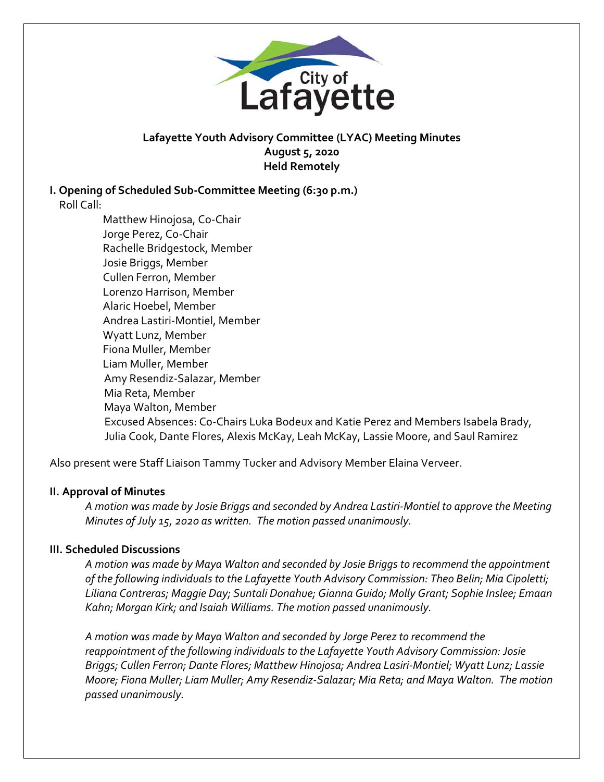

## **Lafayette Youth Advisory Committee (LYAC) Meeting Minutes August 5, 2020 Held Remotely**

# **I. Opening of Scheduled Sub‐Committee Meeting (6:30 p.m.)**

Roll Call:

Matthew Hinojosa, Co‐Chair Jorge Perez, Co‐Chair Rachelle Bridgestock, Member Josie Briggs, Member Cullen Ferron, Member Lorenzo Harrison, Member Alaric Hoebel, Member Andrea Lastiri‐Montiel, Member Wyatt Lunz, Member Fiona Muller, Member Liam Muller, Member Amy Resendiz‐Salazar, Member Mia Reta, Member Maya Walton, Member Excused Absences: Co-Chairs Luka Bodeux and Katie Perez and Members Isabela Brady, Julia Cook, Dante Flores, Alexis McKay, Leah McKay, Lassie Moore, and Saul Ramirez

Also present were Staff Liaison Tammy Tucker and Advisory Member Elaina Verveer.

### **II. Approval of Minutes**

*A motion was made by Josie Briggs and seconded by Andrea Lastiri‐Montiel to approve the Meeting Minutes of July 15, 2020 as written. The motion passed unanimously.* 

### **III. Scheduled Discussions**

*A motion was made by Maya Walton and seconded by Josie Briggs to recommend the appointment of the following individuals to the Lafayette Youth Advisory Commission: Theo Belin; Mia Cipoletti; Liliana Contreras; Maggie Day; Suntali Donahue; Gianna Guido; Molly Grant; Sophie Inslee; Emaan Kahn; Morgan Kirk; and Isaiah Williams. The motion passed unanimously.* 

*A motion was made by Maya Walton and seconded by Jorge Perez to recommend the reappointment of the following individuals to the Lafayette Youth Advisory Commission: Josie Briggs; Cullen Ferron; Dante Flores; Matthew Hinojosa; Andrea Lasiri‐Montiel; Wyatt Lunz; Lassie Moore; Fiona Muller; Liam Muller; Amy Resendiz‐Salazar; Mia Reta; and Maya Walton. The motion passed unanimously.*